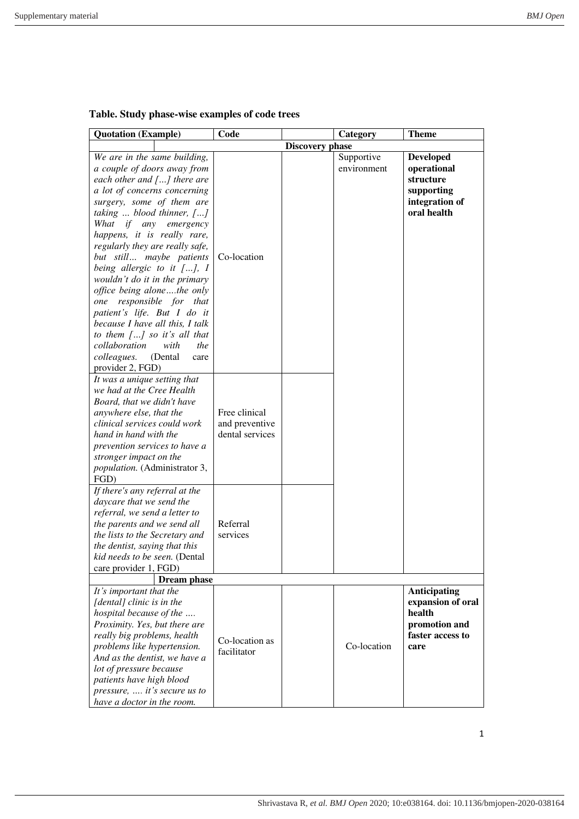| <b>Quotation</b> (Example)                                                                                                                                                                                                                                                                                                                                                                                                                                                                                                                                                                                                                                                  | Code                                               |                        | Category                  | <b>Theme</b>                                                                                    |
|-----------------------------------------------------------------------------------------------------------------------------------------------------------------------------------------------------------------------------------------------------------------------------------------------------------------------------------------------------------------------------------------------------------------------------------------------------------------------------------------------------------------------------------------------------------------------------------------------------------------------------------------------------------------------------|----------------------------------------------------|------------------------|---------------------------|-------------------------------------------------------------------------------------------------|
|                                                                                                                                                                                                                                                                                                                                                                                                                                                                                                                                                                                                                                                                             |                                                    | <b>Discovery phase</b> |                           |                                                                                                 |
| We are in the same building,<br>a couple of doors away from<br>each other and $[]$ there are<br>a lot of concerns concerning<br>surgery, some of them are<br>taking $\ldots$ blood thinner, $[\ldots]$<br>What<br>if<br>any<br>emergency<br>happens, it is really rare,<br>regularly they are really safe,<br>but still maybe patients<br>being allergic to it $[]$ , I<br>wouldn't do it in the primary<br>office being alonethe only<br>responsible for that<br>one<br>patient's life. But I do it<br>because I have all this, I talk<br>to them $\lceil  \rceil$ so it's all that<br>collaboration<br>with<br>the<br>colleagues.<br>(Dental)<br>care<br>provider 2, FGD) | Co-location                                        |                        | Supportive<br>environment | <b>Developed</b><br>operational<br>structure<br>supporting<br>integration of<br>oral health     |
| It was a unique setting that<br>we had at the Cree Health<br>Board, that we didn't have<br>anywhere else, that the<br>clinical services could work<br>hand in hand with the<br>prevention services to have a<br>stronger impact on the<br>population. (Administrator 3,<br>FGD)                                                                                                                                                                                                                                                                                                                                                                                             | Free clinical<br>and preventive<br>dental services |                        |                           |                                                                                                 |
| If there's any referral at the<br>daycare that we send the<br>referral, we send a letter to<br>the parents and we send all<br>the lists to the Secretary and<br>the dentist, saying that this<br>kid needs to be seen. (Dental<br>care provider 1, FGD)                                                                                                                                                                                                                                                                                                                                                                                                                     | Referral<br>services                               |                        |                           |                                                                                                 |
| <b>Dream</b> phase                                                                                                                                                                                                                                                                                                                                                                                                                                                                                                                                                                                                                                                          |                                                    |                        |                           |                                                                                                 |
| It's important that the<br>[dental] clinic is in the<br>hospital because of the<br>Proximity. Yes, but there are<br>really big problems, health<br>problems like hypertension.<br>And as the dentist, we have a<br>lot of pressure because<br>patients have high blood<br>pressure,  it's secure us to<br>have a doctor in the room.                                                                                                                                                                                                                                                                                                                                        | Co-location as<br>facilitator                      |                        | Co-location               | <b>Anticipating</b><br>expansion of oral<br>health<br>promotion and<br>faster access to<br>care |

## **Table. Study phase-wise examples of code trees**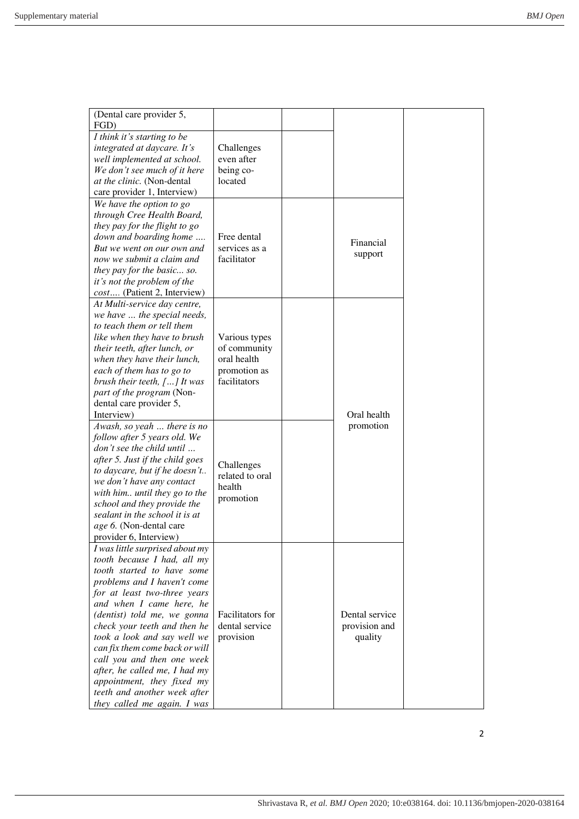| (Dental care provider 5,<br>FGD)                               |                         |                |  |
|----------------------------------------------------------------|-------------------------|----------------|--|
| I think it's starting to be                                    |                         |                |  |
| integrated at daycare. It's                                    | Challenges              |                |  |
| well implemented at school.                                    | even after              |                |  |
| We don't see much of it here                                   | being co-               |                |  |
| at the clinic. (Non-dental                                     | located                 |                |  |
| care provider 1, Interview)                                    |                         |                |  |
| We have the option to go                                       |                         |                |  |
| through Cree Health Board,                                     |                         |                |  |
| they pay for the flight to go                                  |                         |                |  |
| down and boarding home                                         | Free dental             |                |  |
| But we went on our own and                                     | services as a           | Financial      |  |
| now we submit a claim and                                      | facilitator             | support        |  |
| they pay for the basic so.                                     |                         |                |  |
| it's not the problem of the                                    |                         |                |  |
| cost (Patient 2, Interview)                                    |                         |                |  |
| At Multi-service day centre,                                   |                         |                |  |
| we have  the special needs,                                    |                         |                |  |
| to teach them or tell them                                     |                         |                |  |
| like when they have to brush                                   | Various types           |                |  |
| their teeth, after lunch, or                                   | of community            |                |  |
| when they have their lunch,                                    | oral health             |                |  |
| each of them has to go to                                      | promotion as            |                |  |
| brush their teeth, $[\dots]$ It was                            | facilitators            |                |  |
| part of the program (Non-                                      |                         |                |  |
| dental care provider 5,                                        |                         |                |  |
| Interview)                                                     |                         | Oral health    |  |
| Awash, so yeah  there is no                                    |                         | promotion      |  |
| follow after 5 years old. We                                   |                         |                |  |
| don't see the child until                                      |                         |                |  |
| after 5. Just if the child goes                                | Challenges              |                |  |
| to daycare, but if he doesn't                                  | related to oral         |                |  |
| we don't have any contact                                      | health                  |                |  |
| with him until they go to the                                  | promotion               |                |  |
| school and they provide the                                    |                         |                |  |
| sealant in the school it is at                                 |                         |                |  |
| age 6. (Non-dental care<br>provider 6, Interview)              |                         |                |  |
|                                                                |                         |                |  |
| I was little surprised about my<br>tooth because I had, all my |                         |                |  |
| tooth started to have some                                     |                         |                |  |
| problems and I haven't come                                    |                         |                |  |
| for at least two-three years                                   |                         |                |  |
| and when I came here, he                                       |                         |                |  |
| (dentist) told me, we gonna                                    | <b>Facilitators</b> for | Dental service |  |
| check your teeth and then he                                   | dental service          | provision and  |  |
| took a look and say well we                                    | provision               | quality        |  |
| can fix them come back or will                                 |                         |                |  |
| call you and then one week                                     |                         |                |  |
| after, he called me, I had my                                  |                         |                |  |
| appointment, they fixed my                                     |                         |                |  |
| teeth and another week after                                   |                         |                |  |
| they called me again. I was                                    |                         |                |  |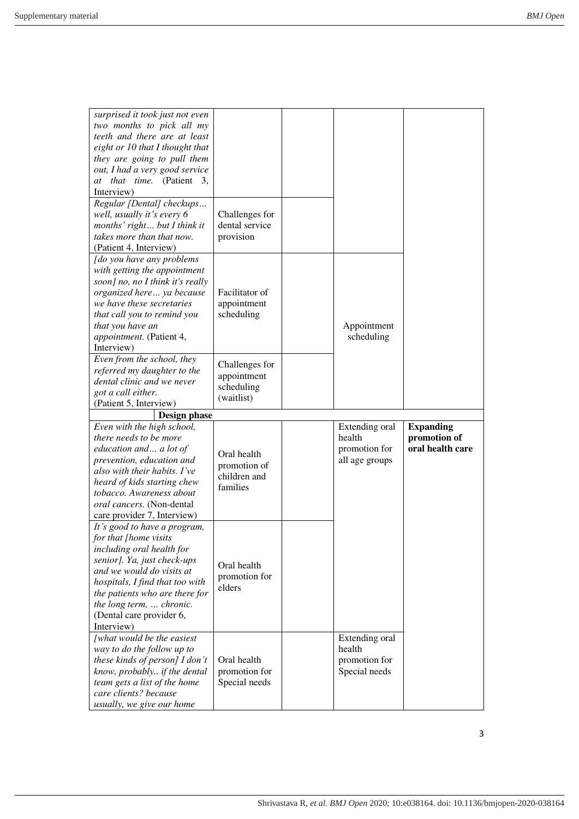| surprised it took just not even<br>two months to pick all my<br>teeth and there are at least<br>eight or 10 that I thought that<br>they are going to pull them<br>out, I had a very good service<br>at that time. (Patient 3,<br>Interview)<br>Regular [Dental] checkups<br>well, usually it's every 6<br>months' right but I think it<br>takes more than that now.<br>(Patient 4, Interview) | Challenges for<br>dental service<br>provision                                              |                                                             |                                                      |
|-----------------------------------------------------------------------------------------------------------------------------------------------------------------------------------------------------------------------------------------------------------------------------------------------------------------------------------------------------------------------------------------------|--------------------------------------------------------------------------------------------|-------------------------------------------------------------|------------------------------------------------------|
| [do you have any problems<br>with getting the appointment<br>soon] no, no I think it's really<br>organized here ya because<br>we have these secretaries<br>that call you to remind you<br>that you have an<br>appointment. (Patient 4,<br>Interview)<br>Even from the school, they<br>referred my daughter to the<br>dental clinic and we never<br>got a call either.                         | Facilitator of<br>appointment<br>scheduling<br>Challenges for<br>appointment<br>scheduling | Appointment<br>scheduling                                   |                                                      |
| (Patient 5, Interview)<br>Design phase                                                                                                                                                                                                                                                                                                                                                        | (waitlist)                                                                                 |                                                             |                                                      |
| Even with the high school,<br>there needs to be more<br>education and a lot of<br>prevention, education and<br>also with their habits. I've<br>heard of kids starting chew<br>tobacco. Awareness about<br>oral cancers. (Non-dental<br>care provider 7, Interview)<br>It's good to have a program,<br>for that [home visits]                                                                  | Oral health<br>promotion of<br>children and<br>families                                    | Extending oral<br>health<br>promotion for<br>all age groups | <b>Expanding</b><br>promotion of<br>oral health care |
| including oral health for<br>senior]. Ya, just check-ups<br>and we would do visits at<br>hospitals, I find that too with<br>the patients who are there for                                                                                                                                                                                                                                    | Oral health<br>promotion for<br>elders                                                     |                                                             |                                                      |